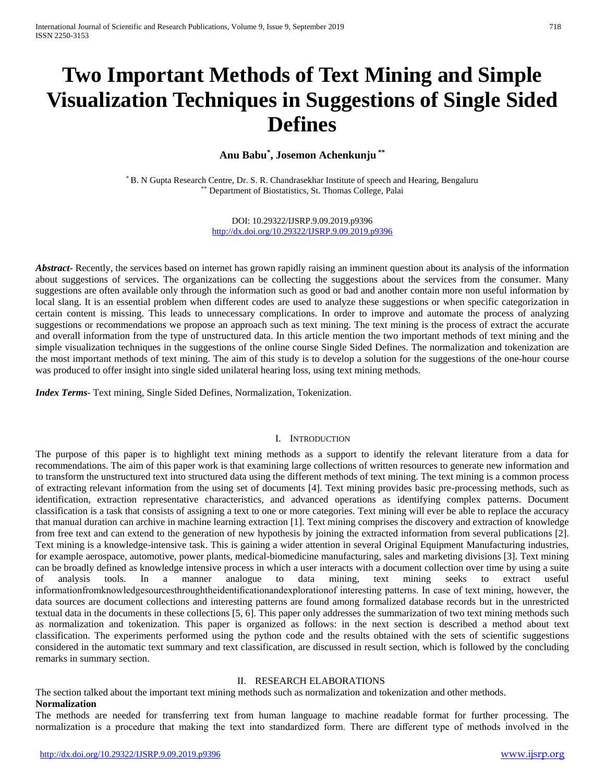# **Two Important Methods of Text Mining and Simple Visualization Techniques in Suggestions of Single Sided Defines**

## **Anu Babu\* , Josemon Achenkunju \*\***

\* B. N Gupta Research Centre, Dr. S. R. Chandrasekhar Institute of speech and Hearing, Bengaluru \*\* Department of Biostatistics, St. Thomas College, Palai

> DOI: 10.29322/IJSRP.9.09.2019.p9396 <http://dx.doi.org/10.29322/IJSRP.9.09.2019.p9396>

*Abstract*- Recently, the services based on internet has grown rapidly raising an imminent question about its analysis of the information about suggestions of services. The organizations can be collecting the suggestions about the services from the consumer. Many suggestions are often available only through the information such as good or bad and another contain more non useful information by local slang. It is an essential problem when different codes are used to analyze these suggestions or when specific categorization in certain content is missing. This leads to unnecessary complications. In order to improve and automate the process of analyzing suggestions or recommendations we propose an approach such as text mining. The text mining is the process of extract the accurate and overall information from the type of unstructured data. In this article mention the two important methods of text mining and the simple visualization techniques in the suggestions of the online course Single Sided Defines. The normalization and tokenization are the most important methods of text mining. The aim of this study is to develop a solution for the suggestions of the one-hour course was produced to offer insight into single sided unilateral hearing loss, using text mining methods.

*Index Terms*- Text mining, Single Sided Defines, Normalization, Tokenization.

#### I. INTRODUCTION

The purpose of this paper is to highlight text mining methods as a support to identify the relevant literature from a data for recommendations. The aim of this paper work is that examining large collections of written resources to generate new information and to transform the unstructured text into structured data using the different methods of text mining. The text mining is a common process of extracting relevant information from the using set of documents [4]. Text mining provides basic pre-processing methods, such as identification, extraction representative characteristics, and advanced operations as identifying complex patterns. Document classification is a task that consists of assigning a text to one or more categories. Text mining will ever be able to replace the accuracy that manual duration can archive in machine learning extraction [1]. Text mining comprises the discovery and extraction of knowledge from free text and can extend to the generation of new hypothesis by joining the extracted information from several publications [2]. Text mining is a knowledge-intensive task. This is gaining a wider attention in several Original Equipment Manufacturing industries, for example aerospace, automotive, power plants, medical-biomedicine manufacturing, sales and marketing divisions [3]. Text mining can be broadly defined as knowledge intensive process in which a user interacts with a document collection over time by using a suite of analysis tools. In a manner analogue to data mining, text mining seeks to extract useful informationfromknowledgesourcesthroughtheidentificationandexplorationof interesting patterns. In case of text mining, however, the data sources are document collections and interesting patterns are found among formalized database records but in the unrestricted textual data in the documents in these collections [5, 6]. This paper only addresses the summarization of two text mining methods such as normalization and tokenization. This paper is organized as follows: in the next section is described a method about text classification. The experiments performed using the python code and the results obtained with the sets of scientific suggestions considered in the automatic text summary and text classification, are discussed in result section, which is followed by the concluding remarks in summary section.

#### II. RESEARCH ELABORATIONS

The section talked about the important text mining methods such as normalization and tokenization and other methods. **Normalization**

The methods are needed for transferring text from human language to machine readable format for further processing. The normalization is a procedure that making the text into standardized form. There are different type of methods involved in the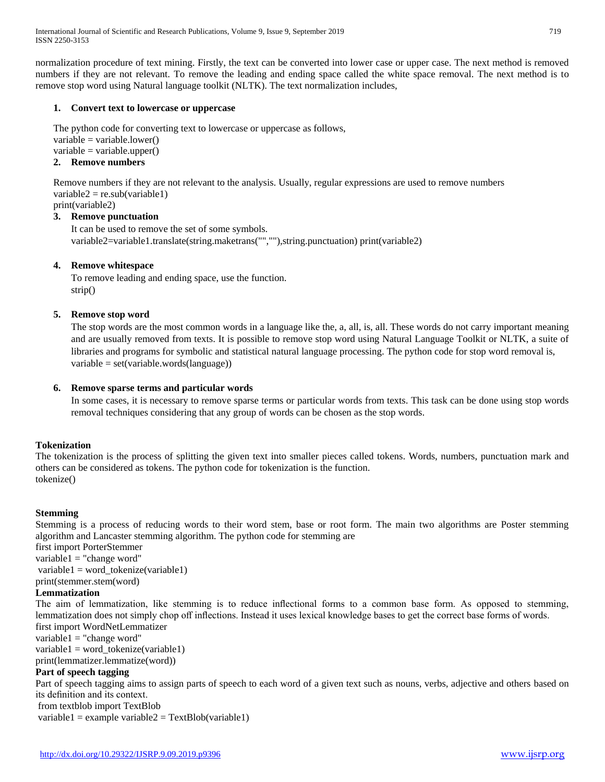normalization procedure of text mining. Firstly, the text can be converted into lower case or upper case. The next method is removed numbers if they are not relevant. To remove the leading and ending space called the white space removal. The next method is to remove stop word using Natural language toolkit (NLTK). The text normalization includes,

#### **1. Convert text to lowercase or uppercase**

The python code for converting text to lowercase or uppercase as follows,  $variable = variable.lower()$  $variable = variable.upper()$ 

# **2. Remove numbers**

Remove numbers if they are not relevant to the analysis. Usually, regular expressions are used to remove numbers  $variable2 = re.sub(variable1)$ 

# print(variable2)

**3. Remove punctuation** It can be used to remove the set of some symbols. variable2=variable1.translate(string.maketrans("",""),string.punctuation) print(variable2)

#### **4. Remove whitespace**

To remove leading and ending space, use the function. strip()

#### **5. Remove stop word**

The stop words are the most common words in a language like the, a, all, is, all. These words do not carry important meaning and are usually removed from texts. It is possible to remove stop word using Natural Language Toolkit or NLTK, a suite of libraries and programs for symbolic and statistical natural language processing. The python code for stop word removal is, variable = set(variable.words(language))

#### **6. Remove sparse terms and particular words**

In some cases, it is necessary to remove sparse terms or particular words from texts. This task can be done using stop words removal techniques considering that any group of words can be chosen as the stop words.

#### **Tokenization**

The tokenization is the process of splitting the given text into smaller pieces called tokens. Words, numbers, punctuation mark and others can be considered as tokens. The python code for tokenization is the function. tokenize()

#### **Stemming**

Stemming is a process of reducing words to their word stem, base or root form. The main two algorithms are Poster stemming algorithm and Lancaster stemming algorithm. The python code for stemming are

first import PorterStemmer

 $variable1 = "change word"$ 

 $variable1 = word\_tokenize(variable1)$ print(stemmer.stem(word)

## **Lemmatization**

The aim of lemmatization, like stemming is to reduce inflectional forms to a common base form. As opposed to stemming, lemmatization does not simply chop off inflections. Instead it uses lexical knowledge bases to get the correct base forms of words. first import WordNetLemmatizer

 $variable1 = "change word"$ 

variable1 = word\_tokenize(variable1)

print(lemmatizer.lemmatize(word))

#### **Part of speech tagging**

Part of speech tagging aims to assign parts of speech to each word of a given text such as nouns, verbs, adjective and others based on its definition and its context.

from textblob import TextBlob

variable1 = example variable2 =  $TextBlob(variable1)$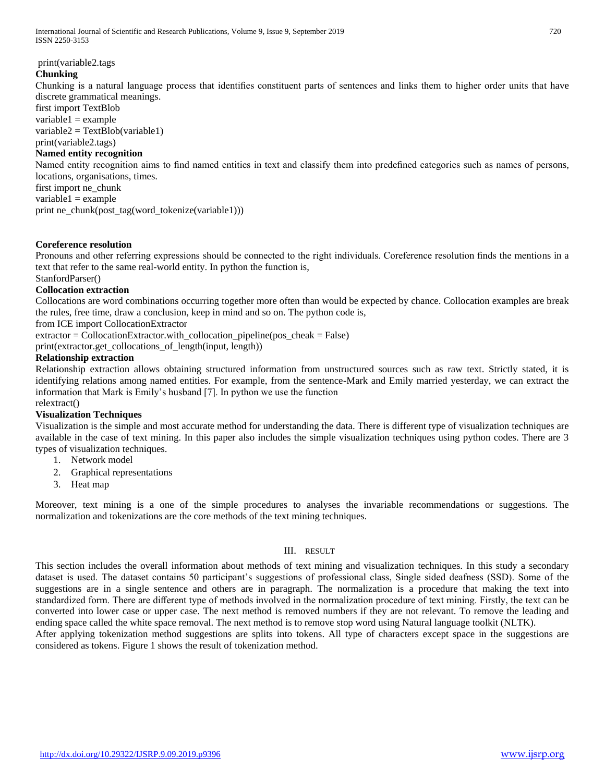International Journal of Scientific and Research Publications, Volume 9, Issue 9, September 2019 720 ISSN 2250-3153

print(variable2.tags

#### **Chunking**

Chunking is a natural language process that identifies constituent parts of sentences and links them to higher order units that have discrete grammatical meanings.

first import TextBlob  $variable1 = example$ variable2 = TextBlob(variable1)

# print(variable2.tags)

## **Named entity recognition**

Named entity recognition aims to find named entities in text and classify them into predefined categories such as names of persons, locations, organisations, times.

first import ne\_chunk  $variable1 = example$ 

print ne\_chunk(post\_tag(word\_tokenize(variable1)))

#### **Coreference resolution**

Pronouns and other referring expressions should be connected to the right individuals. Coreference resolution finds the mentions in a text that refer to the same real-world entity. In python the function is,

StanfordParser()

#### **Collocation extraction**

Collocations are word combinations occurring together more often than would be expected by chance. Collocation examples are break the rules, free time, draw a conclusion, keep in mind and so on. The python code is,

from ICE import CollocationExtractor

 $extraction = CollocationExtractor.with\_collocation\_pipeline(pos\_cheak = False)$ 

print(extractor.get\_collocations\_of\_length(input, length))

#### **Relationship extraction**

Relationship extraction allows obtaining structured information from unstructured sources such as raw text. Strictly stated, it is identifying relations among named entities. For example, from the sentence-Mark and Emily married yesterday, we can extract the information that Mark is Emily's husband [7]. In python we use the function relextract()

#### **Visualization Techniques**

Visualization is the simple and most accurate method for understanding the data. There is different type of visualization techniques are available in the case of text mining. In this paper also includes the simple visualization techniques using python codes. There are 3 types of visualization techniques.

- 1. Network model
- 2. Graphical representations
- 3. Heat map

Moreover, text mining is a one of the simple procedures to analyses the invariable recommendations or suggestions. The normalization and tokenizations are the core methods of the text mining techniques.

#### III. RESULT

This section includes the overall information about methods of text mining and visualization techniques. In this study a secondary dataset is used. The dataset contains 50 participant's suggestions of professional class, Single sided deafness (SSD). Some of the suggestions are in a single sentence and others are in paragraph. The normalization is a procedure that making the text into standardized form. There are different type of methods involved in the normalization procedure of text mining. Firstly, the text can be converted into lower case or upper case. The next method is removed numbers if they are not relevant. To remove the leading and ending space called the white space removal. The next method is to remove stop word using Natural language toolkit (NLTK).

After applying tokenization method suggestions are splits into tokens. All type of characters except space in the suggestions are considered as tokens. Figure 1 shows the result of tokenization method.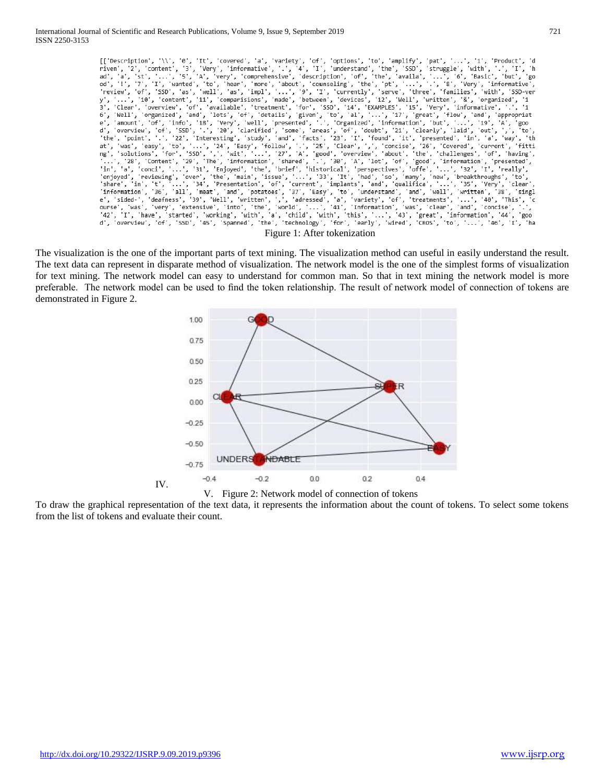

The visualization is the one of the important parts of text mining. The visualization method can useful in easily understand the result. The text data can represent in disparate method of visualization. The network model is the one of the simplest forms of visualization for text mining. The network model can easy to understand for common man. So that in text mining the network model is more preferable. The network model can be used to find the token relationship. The result of network model of connection of tokens are demonstrated in Figure 2.





To draw the graphical representation of the text data, it represents the information about the count of tokens. To select some tokens from the list of tokens and evaluate their count.

IV.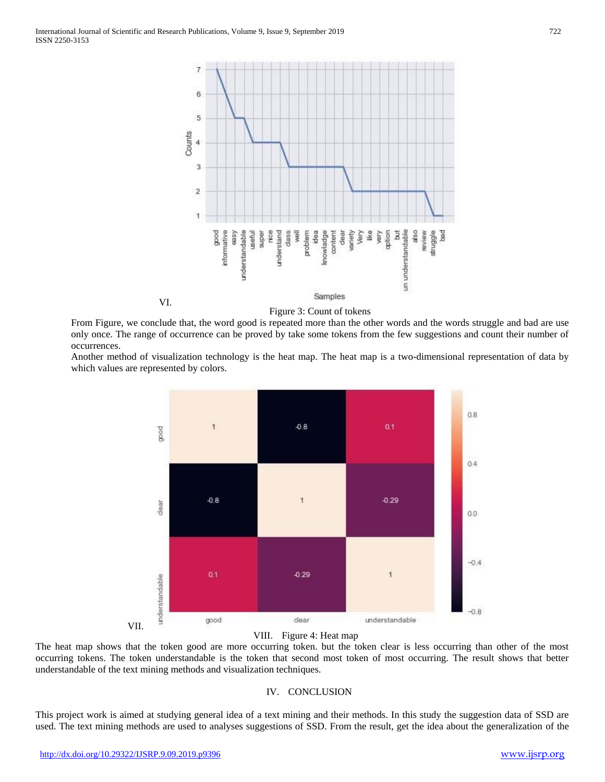VI.



Figure 3: Count of tokens

From Figure, we conclude that, the word good is repeated more than the other words and the words struggle and bad are use only once. The range of occurrence can be proved by take some tokens from the few suggestions and count their number of occurrences.

Another method of visualization technology is the heat map. The heat map is a two-dimensional representation of data by which values are represented by colors.



#### VIII. Figure 4: Heat map

The heat map shows that the token good are more occurring token. but the token clear is less occurring than other of the most occurring tokens. The token understandable is the token that second most token of most occurring. The result shows that better understandable of the text mining methods and visualization techniques.

#### IV. CONCLUSION

This project work is aimed at studying general idea of a text mining and their methods. In this study the suggestion data of SSD are used. The text mining methods are used to analyses suggestions of SSD. From the result, get the idea about the generalization of the